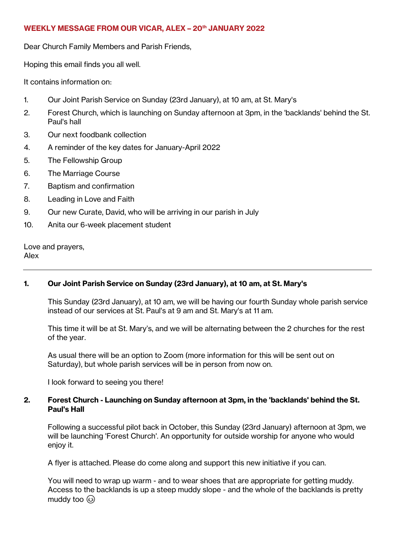## **WEEKLY MESSAGE FROM OUR VICAR, ALEX – 20th JANUARY 2022**

Dear Church Family Members and Parish Friends,

Hoping this email finds you all well.

It contains information on:

- 1. Our Joint Parish Service on Sunday (23rd January), at 10 am, at St. Mary's
- 2. Forest Church, which is launching on Sunday afternoon at 3pm, in the 'backlands' behind the St. Paul's hall
- 3. Our next foodbank collection
- 4. A reminder of the key dates for January-April 2022
- 5. The Fellowship Group
- 6. The Marriage Course
- 7. Baptism and confirmation
- 8. Leading in Love and Faith
- 9. Our new Curate, David, who will be arriving in our parish in July
- 10. Anita our 6-week placement student

Love and prayers, Alex

# **1. Our Joint Parish Service on Sunday (23rd January), at 10 am, at St. Mary's**

This Sunday (23rd January), at 10 am, we will be having our fourth Sunday whole parish service instead of our services at St. Paul's at 9 am and St. Mary's at 11 am.

This time it will be at St. Mary's, and we will be alternating between the 2 churches for the rest of the year.

As usual there will be an option to Zoom (more information for this will be sent out on Saturday), but whole parish services will be in person from now on.

I look forward to seeing you there!

# **2. Forest Church - Launching on Sunday afternoon at 3pm, in the 'backlands' behind the St. Paul's Hall**

Following a successful pilot back in October, this Sunday (23rd January) afternoon at 3pm, we will be launching 'Forest Church'. An opportunity for outside worship for anyone who would enjoy it.

A flyer is attached. Please do come along and support this new initiative if you can.

You will need to wrap up warm - and to wear shoes that are appropriate for getting muddy. Access to the backlands is up a steep muddy slope - and the whole of the backlands is pretty muddy too  $\circled{3}$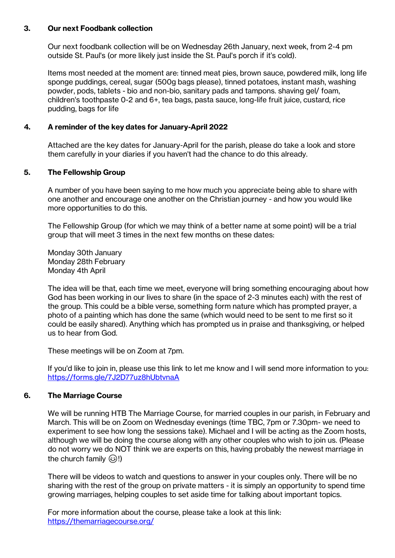### **3. Our next Foodbank collection**

Our next foodbank collection will be on Wednesday 26th January, next week, from 2-4 pm outside St. Paul's (or more likely just inside the St. Paul's porch if it's cold).

Items most needed at the moment are: tinned meat pies, brown sauce, powdered milk, long life sponge puddings, cereal, sugar (500g bags please), tinned potatoes, instant mash, washing powder, pods, tablets - bio and non-bio, sanitary pads and tampons. shaving gel/ foam, children's toothpaste 0-2 and 6+, tea bags, pasta sauce, long-life fruit juice, custard, rice pudding, bags for life

## **4. A reminder of the key dates for January-April 2022**

Attached are the key dates for January-April for the parish, please do take a look and store them carefully in your diaries if you haven't had the chance to do this already.

## **5. The Fellowship Group**

A number of you have been saying to me how much you appreciate being able to share with one another and encourage one another on the Christian journey - and how you would like more opportunities to do this.

The Fellowship Group (for which we may think of a better name at some point) will be a trial group that will meet 3 times in the next few months on these dates:

Monday 30th January Monday 28th February Monday 4th April

The idea will be that, each time we meet, everyone will bring something encouraging about how God has been working in our lives to share (in the space of 2-3 minutes each) with the rest of the group. This could be a bible verse, something form nature which has prompted prayer, a photo of a painting which has done the same (which would need to be sent to me first so it could be easily shared). Anything which has prompted us in praise and thanksgiving, or helped us to hear from God.

These meetings will be on Zoom at 7pm.

If you'd like to join in, please use this link to let me know and I will send more information to you: <https://forms.gle/7J2D77uz8hUbtvnaA>

#### **6. The Marriage Course**

We will be running HTB The Marriage Course, for married couples in our parish, in February and March. This will be on Zoom on Wednesday evenings (time TBC, 7pm or 7.30pm- we need to experiment to see how long the sessions take). Michael and I will be acting as the Zoom hosts, although we will be doing the course along with any other couples who wish to join us. (Please do not worry we do NOT think we are experts on this, having probably the newest marriage in the church family  $\circled{})!$ 

There will be videos to watch and questions to answer in your couples only. There will be no sharing with the rest of the group on private matters - it is simply an opportunity to spend time growing marriages, helping couples to set aside time for talking about important topics.

For more information about the course, please take a look at this link: <https://themarriagecourse.org/>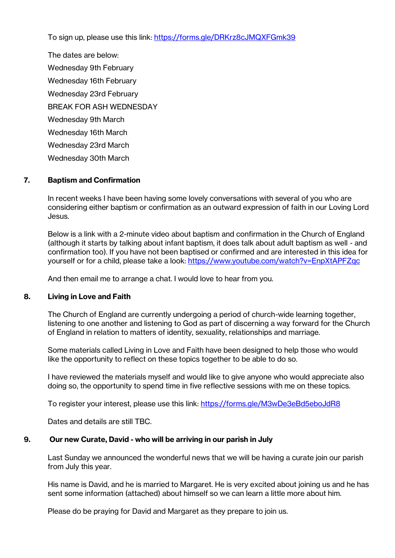To sign up, please use this link:<https://forms.gle/DRKrz8cJMQXFGmk39>

The dates are below: Wednesday 9th February Wednesday 16th February Wednesday 23rd February BREAK FOR ASH WEDNESDAY Wednesday 9th March Wednesday 16th March Wednesday 23rd March Wednesday 30th March

## **7. Baptism and Confirmation**

In recent weeks I have been having some lovely conversations with several of you who are considering either baptism or confirmation as an outward expression of faith in our Loving Lord Jesus.

Below is a link with a 2-minute video about baptism and confirmation in the Church of England (although it starts by talking about infant baptism, it does talk about adult baptism as well - and confirmation too). If you have not been baptised or confirmed and are interested in this idea for yourself or for a child, please take a look:<https://www.youtube.com/watch?v=EnpXtAPFZqc>

And then email me to arrange a chat. I would love to hear from you.

#### **8. Living in Love and Faith**

The Church of England are currently undergoing a period of church-wide learning together, listening to one another and listening to God as part of discerning a way forward for the Church of England in relation to matters of identity, sexuality, relationships and marriage.

Some materials called Living in Love and Faith have been designed to help those who would like the opportunity to reflect on these topics together to be able to do so.

I have reviewed the materials myself and would like to give anyone who would appreciate also doing so, the opportunity to spend time in five reflective sessions with me on these topics.

To register your interest, please use this link:<https://forms.gle/M3wDe3eBd5eboJdR8>

Dates and details are still TBC.

#### **9. Our new Curate, David - who will be arriving in our parish in July**

Last Sunday we announced the wonderful news that we will be having a curate join our parish from July this year.

His name is David, and he is married to Margaret. He is very excited about joining us and he has sent some information (attached) about himself so we can learn a little more about him.

Please do be praying for David and Margaret as they prepare to join us.